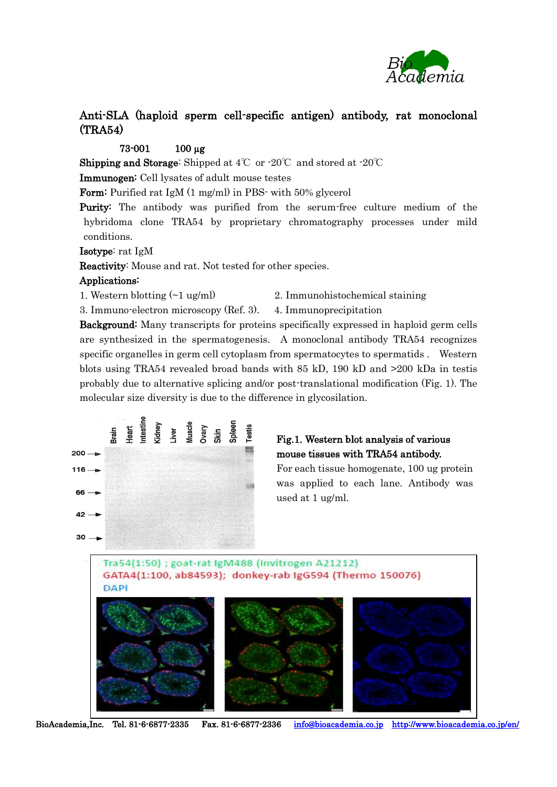

# Anti-SLA (haploid sperm cell-specific antigen) antibody, rat monoclonal (TRA54)

## 73-001 100 µg

**Shipping and Storage:** Shipped at  $4^{\circ}$  or  $-20^{\circ}$  and stored at  $-20^{\circ}$ 

Immunogen: Cell lysates of adult mouse testes

Form: Purified rat IgM (1 mg/ml) in PBS- with 50% glycerol

Purity: The antibody was purified from the serum-free culture medium of the hybridoma clone TRA54 by proprietary chromatography processes under mild conditions.

Isotype: rat IgM

Reactivity: Mouse and rat. Not tested for other species.

#### Applications:

- 
- 1. Western blotting  $(\sim 1 \text{ ug/ml})$  2. Immunohistochemical staining

3. Immuno-electron microscopy (Ref. 3). 4. Immunoprecipitation

Background: Many transcripts for proteins specifically expressed in haploid germ cells are synthesized in the spermatogenesis. A monoclonal antibody TRA54 recognizes specific organelles in germ cell cytoplasm from spermatocytes to spermatids . Western blots using TRA54 revealed broad bands with 85 kD, 190 kD and >200 kDa in testis probably due to alternative splicing and/or post-translational modification (Fig. 1). The molecular size diversity is due to the difference in glycosilation.



# Fig.1. Western blot analysis of various mouse tissues with TRA54 antibody.

For each tissue homogenate, 100 ug protein was applied to each lane. Antibody was used at 1 ug/ml.

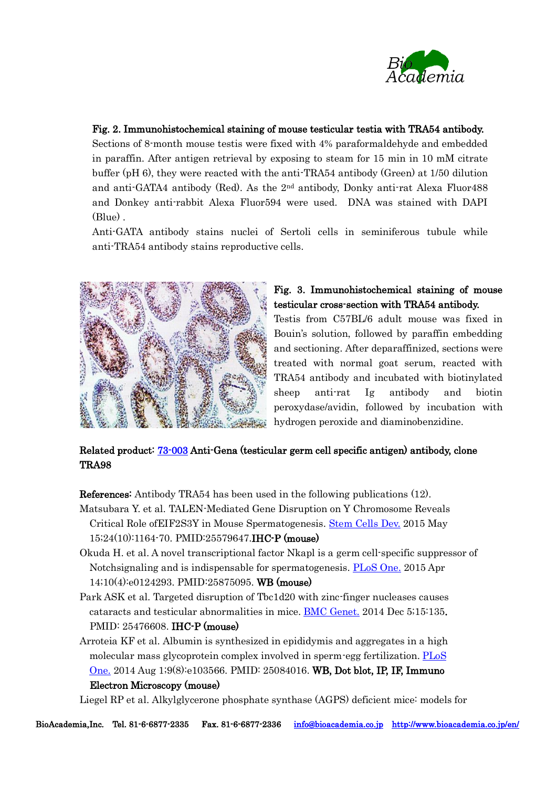

## Fig. 2. Immunohistochemical staining of mouse testicular testia with TRA54 antibody.

Sections of 8-month mouse testis were fixed with 4% paraformaldehyde and embedded in paraffin. After antigen retrieval by exposing to steam for 15 min in 10 mM citrate buffer (pH 6), they were reacted with the anti-TRA54 antibody (Green) at 1/50 dilution and anti-GATA4 antibody (Red). As the 2nd antibody, Donky anti-rat Alexa Fluor488 and Donkey anti-rabbit Alexa Fluor594 were used. DNA was stained with DAPI (Blue) .

Anti-GATA antibody stains nuclei of Sertoli cells in seminiferous tubule while anti-TRA54 antibody stains reproductive cells.



## Fig. 3. Immunohistochemical staining of mouse testicular cross-section with TRA54 antibody.

Testis from C57BL/6 adult mouse was fixed in Bouin's solution, followed by paraffin embedding and sectioning. After deparaffinized, sections were treated with normal goat serum, reacted with TRA54 antibody and incubated with biotinylated sheep anti-rat Ig antibody and biotin peroxydase/avidin, followed by incubation with hydrogen peroxide and diaminobenzidine.

## Related product: [73-003](http://www.bioacademia.co.jp/en/product_img/219/E73-003%20TRA98.pdf) Anti-Gena (testicular germ cell specific antigen) antibody, clone TRA98

References: Antibody TRA54 has been used in the following publications (12).

- Matsubara Y. et al. TALEN-Mediated Gene Disruption on Y Chromosome Reveals Critical Role ofEIF2S3Y in Mouse Spermatogenesis. [Stem](https://www.ncbi.nlm.nih.gov/pubmed/25579647) Cells Dev. 2015 May 15;24(10):1164-70. PMID:25579647.IHC-P (mouse)
- Okuda H. et al. A novel transcriptional factor Nkapl is a germ cell-specific suppressor of Notchsignaling and is indispensable for spermatogenesis. [PLoS One.](https://www.ncbi.nlm.nih.gov/pubmed/25875095) 2015 Apr 14;10(4):e0124293. PMID:25875095. WB (mouse)
- Park ASK et al. Targeted disruption of Tbc1d20 with zinc-finger nucleases causes cataracts and testicular abnormalities in mice. [BMC Genet.](https://www.ncbi.nlm.nih.gov/pubmed/?term=Targeted+disruption+of+Tbc1d20with+zinc-finger+nucleases+causes+cataracts+and+testicular+abnormalities+in+mice) 2014 Dec 5;15:135. PMID: 25476608. IHC-P (mouse)
- Arroteia KF et al. Albumin is synthesized in epididymis and aggregates in a high molecular mass glycoprotein complex involved in sperm-egg fertilization. [PLoS](https://www.ncbi.nlm.nih.gov/pubmed/?term=Albumin+Is+Synthesized+in+Epididymis+and+Aggregates+in+a+High+Molecular+Mass+Glycoprotein+Complex+Involved+in+Sperm-Egg+Fertilization)   [One.](https://www.ncbi.nlm.nih.gov/pubmed/?term=Albumin+Is+Synthesized+in+Epididymis+and+Aggregates+in+a+High+Molecular+Mass+Glycoprotein+Complex+Involved+in+Sperm-Egg+Fertilization) 2014 Aug 1;9(8):e103566. PMID: 25084016. WB, Dot blot, IP, IF, Immuno Electron Microscopy (mouse)

Liegel RP et al. Alkylglycerone phosphate synthase (AGPS) deficient mice: models for